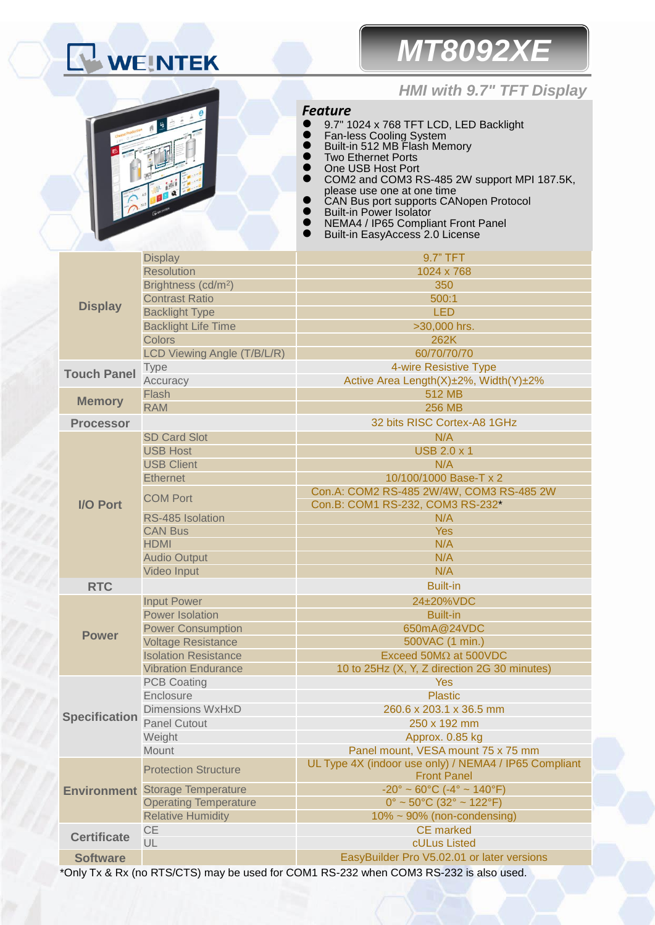# WEINTEK

## *MT8092XE*

### *HMI with 9.7" TFT Display*



*Feature*

- 9.7" 1024 x 768 TFT LCD, LED Backlight
- **•** Fan-less Cooling System
- Built-in 512 MB Flash Memory
- **Two Ethernet Ports**
- One USB Host Port
	- COM2 and COM3 RS-485 2W support MPI 187.5K, please use one at one time
- CAN Bus port supports CANopen Protocol
- Built-in Power Isolator
- NEMA4 / IP65 Compliant Front Panel
- Built-in EasyAccess 2.0 License

| <b>Display</b>       | <b>Display</b>                         | 9.7" TFT                                                                    |  |  |
|----------------------|----------------------------------------|-----------------------------------------------------------------------------|--|--|
|                      | <b>Resolution</b>                      | 1024 x 768                                                                  |  |  |
|                      | Brightness (cd/m <sup>2</sup> )        | 350                                                                         |  |  |
|                      | <b>Contrast Ratio</b>                  | 500:1                                                                       |  |  |
|                      | <b>Backlight Type</b>                  | <b>LED</b>                                                                  |  |  |
|                      | <b>Backlight Life Time</b>             | >30,000 hrs.                                                                |  |  |
|                      | <b>Colors</b>                          | 262K                                                                        |  |  |
|                      | LCD Viewing Angle (T/B/L/R)            | 60/70/70/70                                                                 |  |  |
| <b>Touch Panel</b>   | <b>Type</b>                            | 4-wire Resistive Type                                                       |  |  |
|                      | Accuracy                               | Active Area Length(X)±2%, Width(Y)±2%                                       |  |  |
| <b>Memory</b>        | Flash                                  | 512 MB                                                                      |  |  |
|                      | <b>RAM</b>                             | <b>256 MB</b>                                                               |  |  |
| <b>Processor</b>     |                                        | 32 bits RISC Cortex-A8 1GHz                                                 |  |  |
|                      | <b>SD Card Slot</b>                    | N/A                                                                         |  |  |
|                      | <b>USB Host</b>                        | <b>USB 2.0 x 1</b>                                                          |  |  |
|                      | <b>USB Client</b>                      | N/A                                                                         |  |  |
|                      | <b>Ethernet</b>                        | 10/100/1000 Base-T x 2                                                      |  |  |
|                      | <b>COM Port</b>                        | Con.A: COM2 RS-485 2W/4W, COM3 RS-485 2W                                    |  |  |
| <b>I/O Port</b>      |                                        | Con.B: COM1 RS-232, COM3 RS-232*                                            |  |  |
|                      | RS-485 Isolation                       | N/A                                                                         |  |  |
|                      | <b>CAN Bus</b>                         | <b>Yes</b>                                                                  |  |  |
|                      | <b>HDMI</b>                            | N/A                                                                         |  |  |
|                      | <b>Audio Output</b>                    | N/A                                                                         |  |  |
|                      | Video Input                            | N/A                                                                         |  |  |
| <b>RTC</b>           |                                        | <b>Built-in</b>                                                             |  |  |
|                      | <b>Input Power</b>                     | 24±20%VDC                                                                   |  |  |
|                      | <b>Power Isolation</b>                 | <b>Built-in</b>                                                             |  |  |
| <b>Power</b>         | <b>Power Consumption</b>               | 650mA@24VDC                                                                 |  |  |
|                      | <b>Voltage Resistance</b>              | 500VAC (1 min.)                                                             |  |  |
|                      | <b>Isolation Resistance</b>            | Exceed 50M $\Omega$ at 500VDC                                               |  |  |
|                      | <b>Vibration Endurance</b>             | 10 to 25Hz (X, Y, Z direction 2G 30 minutes)                                |  |  |
|                      | <b>PCB Coating</b>                     | <b>Yes</b>                                                                  |  |  |
|                      | Enclosure                              | <b>Plastic</b>                                                              |  |  |
| <b>Specification</b> | <b>Dimensions WxHxD</b>                | 260.6 x 203.1 x 36.5 mm                                                     |  |  |
|                      | <b>Panel Cutout</b>                    | 250 x 192 mm                                                                |  |  |
|                      | Weight                                 | Approx. 0.85 kg                                                             |  |  |
|                      | Mount                                  | Panel mount, VESA mount 75 x 75 mm                                          |  |  |
|                      | <b>Protection Structure</b>            | UL Type 4X (indoor use only) / NEMA4 / IP65 Compliant<br><b>Front Panel</b> |  |  |
|                      | <b>Environment</b> Storage Temperature | $-20^{\circ} \sim 60^{\circ}$ C ( $-4^{\circ} \sim 140^{\circ}$ F)          |  |  |
|                      | <b>Operating Temperature</b>           | $0^{\circ}$ ~ 50°C (32° ~ 122°F)                                            |  |  |
|                      | <b>Relative Humidity</b>               | $10\% \sim 90\%$ (non-condensing)                                           |  |  |
| <b>Certificate</b>   | CE                                     | <b>CE</b> marked                                                            |  |  |
|                      | UL                                     | cULus Listed                                                                |  |  |
| <b>Software</b>      |                                        | EasyBuilder Pro V5.02.01 or later versions                                  |  |  |

\*Only Tx & Rx (no RTS/CTS) may be used for COM1 RS-232 when COM3 RS-232 is also used.